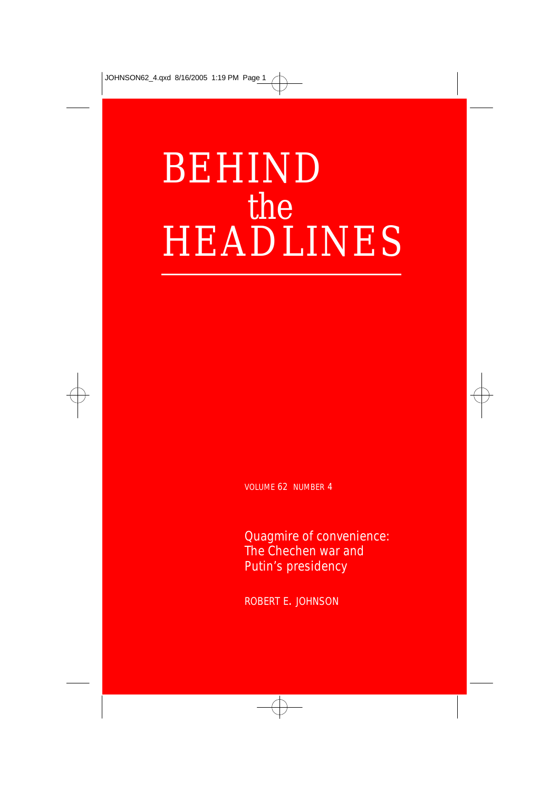# BEHIND the HEADLINES

VOLUME 62 NUMBER 4

Quagmire of convenience: The Chechen war and Putin's presidency

ROBERT E. JOHNSON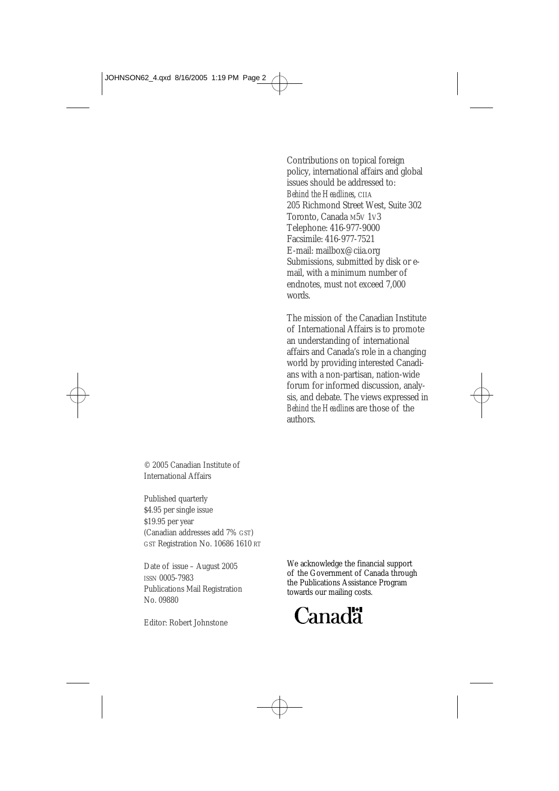Contributions on topical foreign policy, international affairs and global issues should be addressed to: *Behind the Headlines*, CIIA 205 Richmond Street West, Suite 302 Toronto, Canada M5V 1V3 Telephone: 416-977-9000 Facsimile: 416-977-7521 E-mail: mailbox@ciia.org Submissions, submitted by disk or email, with a minimum number of endnotes, must not exceed 7,000 words.

The mission of the Canadian Institute of International Affairs is to promote an understanding of international affairs and Canada's role in a changing world by providing interested Canadians with a non-partisan, nation-wide forum for informed discussion, analysis, and debate. The views expressed in *Behind the Headlines* are those of the authors.

© 2005 Canadian Institute of International Affairs

Published quarterly \$4.95 per single issue \$19.95 per year (Canadian addresses add 7% GST) GST Registration No. 10686 1610 RT

Date of issue – August 2005 ISSN 0005-7983 Publications Mail Registration No. 09880

Editor: Robert Johnstone

We acknowledge the financial support of the Government of Canada through the Publications Assistance Program towards our mailing costs.

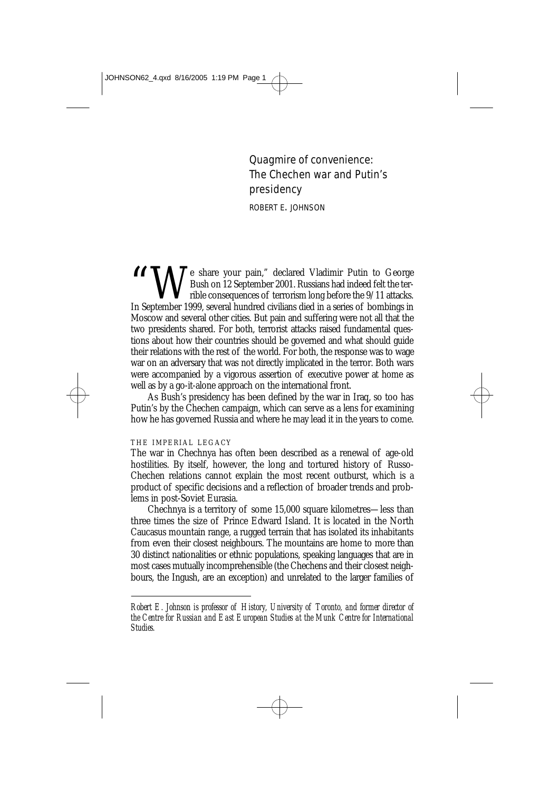Quagmire of convenience: The Chechen war and Putin's presidency

ROBERT E. JOHNSON

Te share your pain," declared Vladimir Putin to George Bush on 12 September 2001. Russians had indeed felt the terrible consequences of terrorism long before the 9/11 attacks. In September 1999, several hundred civilians died in a series of bombings in Moscow and several other cities. But pain and suffering were not all that the two presidents shared. For both, terrorist attacks raised fundamental questions about how their countries should be governed and what should guide their relations with the rest of the world. For both, the response was to wage war on an adversary that was not directly implicated in the terror. Both wars were accompanied by a vigorous assertion of executive power at home as well as by a go-it-alone approach on the international front.

As Bush's presidency has been defined by the war in Iraq, so too has Putin's by the Chechen campaign, which can serve as a lens for examining how he has governed Russia and where he may lead it in the years to come.

#### THE IMPERIAL LEGACY

The war in Chechnya has often been described as a renewal of age-old hostilities. By itself, however, the long and tortured history of Russo-Chechen relations cannot explain the most recent outburst, which is a product of specific decisions and a reflection of broader trends and problems in post-Soviet Eurasia.

Chechnya is a territory of some 15,000 square kilometres—less than three times the size of Prince Edward Island. It is located in the North Caucasus mountain range, a rugged terrain that has isolated its inhabitants from even their closest neighbours. The mountains are home to more than 30 distinct nationalities or ethnic populations, speaking languages that are in most cases mutually incomprehensible (the Chechens and their closest neighbours, the Ingush, are an exception) and unrelated to the larger families of

*Robert E. Johnson is professor of History, University of Toronto, and former director of the Centre for Russian and East European Studies at the Munk Centre for International Studies.*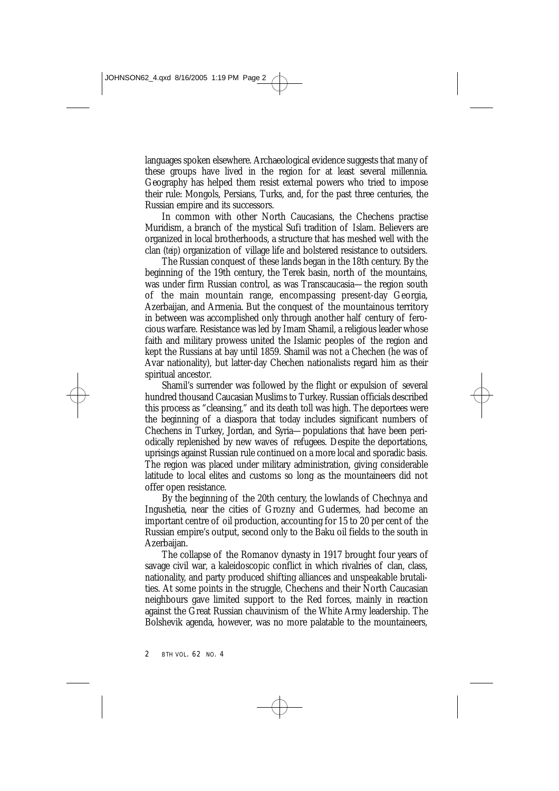languages spoken elsewhere. Archaeological evidence suggests that many of these groups have lived in the region for at least several millennia. Geography has helped them resist external powers who tried to impose their rule: Mongols, Persians, Turks, and, for the past three centuries, the Russian empire and its successors.

In common with other North Caucasians, the Chechens practise Muridism, a branch of the mystical Sufi tradition of Islam. Believers are organized in local brotherhoods, a structure that has meshed well with the clan (*teip*) organization of village life and bolstered resistance to outsiders.

The Russian conquest of these lands began in the 18th century. By the beginning of the 19th century, the Terek basin, north of the mountains, was under firm Russian control, as was Transcaucasia—the region south of the main mountain range, encompassing present-day Georgia, Azerbaijan, and Armenia. But the conquest of the mountainous territory in between was accomplished only through another half century of ferocious warfare. Resistance was led by Imam Shamil, a religious leader whose faith and military prowess united the Islamic peoples of the region and kept the Russians at bay until 1859. Shamil was not a Chechen (he was of Avar nationality), but latter-day Chechen nationalists regard him as their spiritual ancestor.

Shamil's surrender was followed by the flight or expulsion of several hundred thousand Caucasian Muslims to Turkey. Russian officials described this process as "cleansing," and its death toll was high. The deportees were the beginning of a diaspora that today includes significant numbers of Chechens in Turkey, Jordan, and Syria—populations that have been periodically replenished by new waves of refugees. Despite the deportations, uprisings against Russian rule continued on a more local and sporadic basis. The region was placed under military administration, giving considerable latitude to local elites and customs so long as the mountaineers did not offer open resistance.

By the beginning of the 20th century, the lowlands of Chechnya and Ingushetia, near the cities of Grozny and Gudermes, had become an important centre of oil production, accounting for 15 to 20 per cent of the Russian empire's output, second only to the Baku oil fields to the south in Azerbaijan.

The collapse of the Romanov dynasty in 1917 brought four years of savage civil war, a kaleidoscopic conflict in which rivalries of clan, class, nationality, and party produced shifting alliances and unspeakable brutalities. At some points in the struggle, Chechens and their North Caucasian neighbours gave limited support to the Red forces, mainly in reaction against the Great Russian chauvinism of the White Army leadership. The Bolshevik agenda, however, was no more palatable to the mountaineers,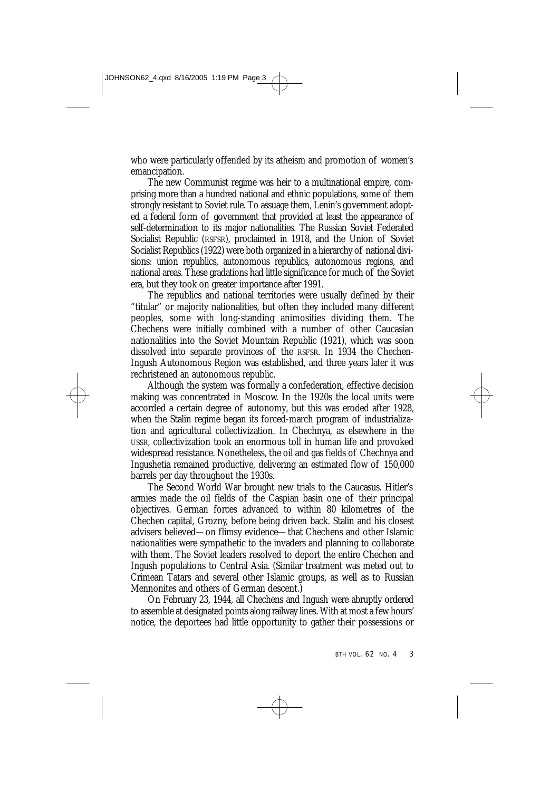who were particularly offended by its atheism and promotion of women's emancipation.

The new Communist regime was heir to a multinational empire, comprising more than a hundred national and ethnic populations, some of them strongly resistant to Soviet rule. To assuage them, Lenin's government adopted a federal form of government that provided at least the appearance of self-determination to its major nationalities. The Russian Soviet Federated Socialist Republic (RSFSR), proclaimed in 1918, and the Union of Soviet Socialist Republics (1922) were both organized in a hierarchy of national divisions: union republics, autonomous republics, autonomous regions, and national areas. These gradations had little significance for much of the Soviet era, but they took on greater importance after 1991.

The republics and national territories were usually defined by their "titular" or majority nationalities, but often they included many different peoples, some with long-standing animosities dividing them. The Chechens were initially combined with a number of other Caucasian nationalities into the Soviet Mountain Republic (1921), which was soon dissolved into separate provinces of the RSFSR. In 1934 the Chechen-Ingush Autonomous Region was established, and three years later it was rechristened an autonomous republic.

Although the system was formally a confederation, effective decision making was concentrated in Moscow. In the 1920s the local units were accorded a certain degree of autonomy, but this was eroded after 1928, when the Stalin regime began its forced-march program of industrialization and agricultural collectivization. In Chechnya, as elsewhere in the USSR, collectivization took an enormous toll in human life and provoked widespread resistance. Nonetheless, the oil and gas fields of Chechnya and Ingushetia remained productive, delivering an estimated flow of 150,000 barrels per day throughout the 1930s.

The Second World War brought new trials to the Caucasus. Hitler's armies made the oil fields of the Caspian basin one of their principal objectives. German forces advanced to within 80 kilometres of the Chechen capital, Grozny, before being driven back. Stalin and his closest advisers believed—on flimsy evidence—that Chechens and other Islamic nationalities were sympathetic to the invaders and planning to collaborate with them. The Soviet leaders resolved to deport the entire Chechen and Ingush populations to Central Asia. (Similar treatment was meted out to Crimean Tatars and several other Islamic groups, as well as to Russian Mennonites and others of German descent.)

On February 23, 1944, all Chechens and Ingush were abruptly ordered to assemble at designated points along railway lines. With at most a few hours' notice, the deportees had little opportunity to gather their possessions or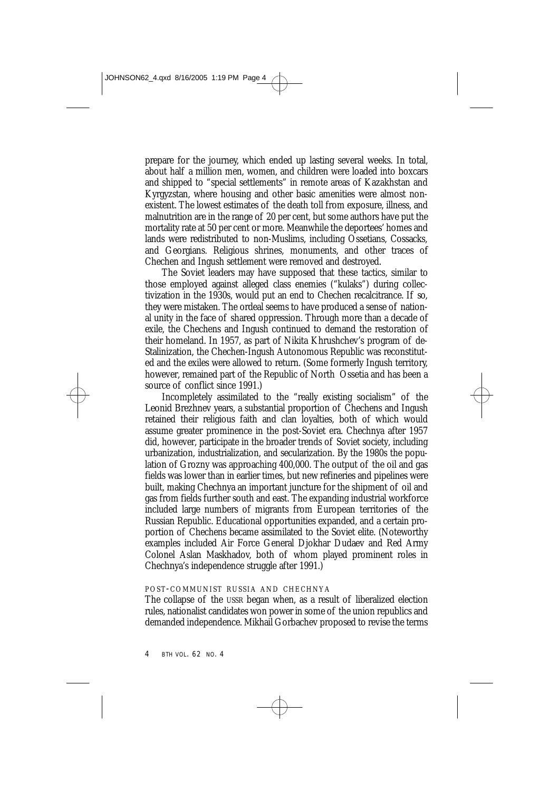prepare for the journey, which ended up lasting several weeks. In total, about half a million men, women, and children were loaded into boxcars and shipped to "special settlements" in remote areas of Kazakhstan and Kyrgyzstan, where housing and other basic amenities were almost nonexistent. The lowest estimates of the death toll from exposure, illness, and malnutrition are in the range of 20 per cent, but some authors have put the mortality rate at 50 per cent or more. Meanwhile the deportees' homes and lands were redistributed to non-Muslims, including Ossetians, Cossacks, and Georgians. Religious shrines, monuments, and other traces of Chechen and Ingush settlement were removed and destroyed.

The Soviet leaders may have supposed that these tactics, similar to those employed against alleged class enemies ("kulaks") during collectivization in the 1930s, would put an end to Chechen recalcitrance. If so, they were mistaken. The ordeal seems to have produced a sense of national unity in the face of shared oppression. Through more than a decade of exile, the Chechens and Ingush continued to demand the restoration of their homeland. In 1957, as part of Nikita Khrushchev's program of de-Stalinization, the Chechen-Ingush Autonomous Republic was reconstituted and the exiles were allowed to return. (Some formerly Ingush territory, however, remained part of the Republic of North Ossetia and has been a source of conflict since 1991.)

Incompletely assimilated to the "really existing socialism" of the Leonid Brezhnev years, a substantial proportion of Chechens and Ingush retained their religious faith and clan loyalties, both of which would assume greater prominence in the post-Soviet era. Chechnya after 1957 did, however, participate in the broader trends of Soviet society, including urbanization, industrialization, and secularization. By the 1980s the population of Grozny was approaching 400,000. The output of the oil and gas fields was lower than in earlier times, but new refineries and pipelines were built, making Chechnya an important juncture for the shipment of oil and gas from fields further south and east. The expanding industrial workforce included large numbers of migrants from European territories of the Russian Republic. Educational opportunities expanded, and a certain proportion of Chechens became assimilated to the Soviet elite. (Noteworthy examples included Air Force General Djokhar Dudaev and Red Army Colonel Aslan Maskhadov, both of whom played prominent roles in Chechnya's independence struggle after 1991.)

## POST-COMMUNIST RUSSIA AND CHECHNYA

The collapse of the USSR began when, as a result of liberalized election rules, nationalist candidates won power in some of the union republics and demanded independence. Mikhail Gorbachev proposed to revise the terms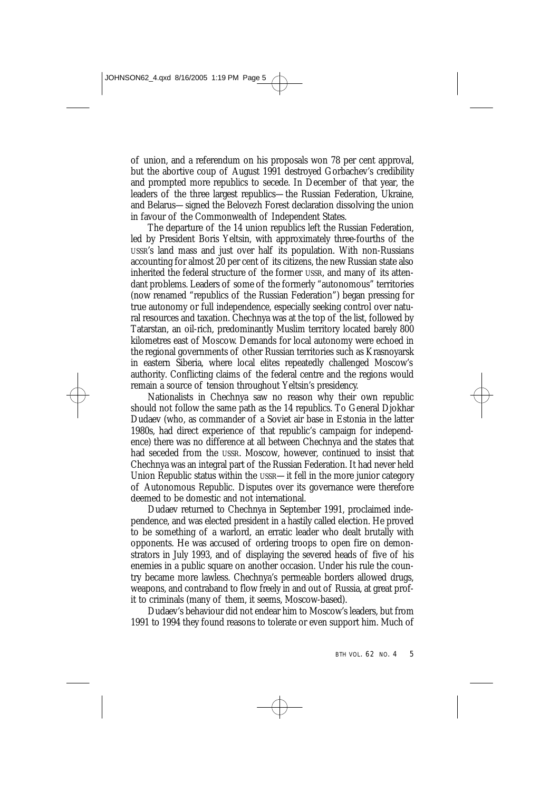of union, and a referendum on his proposals won 78 per cent approval, but the abortive coup of August 1991 destroyed Gorbachev's credibility and prompted more republics to secede. In December of that year, the leaders of the three largest republics—the Russian Federation, Ukraine, and Belarus—signed the Belovezh Forest declaration dissolving the union in favour of the Commonwealth of Independent States.

The departure of the 14 union republics left the Russian Federation, led by President Boris Yeltsin, with approximately three-fourths of the USSR's land mass and just over half its population. With non-Russians accounting for almost 20 per cent of its citizens, the new Russian state also inherited the federal structure of the former USSR, and many of its attendant problems. Leaders of some of the formerly "autonomous" territories (now renamed "republics of the Russian Federation") began pressing for true autonomy or full independence, especially seeking control over natural resources and taxation. Chechnya was at the top of the list, followed by Tatarstan, an oil-rich, predominantly Muslim territory located barely 800 kilometres east of Moscow. Demands for local autonomy were echoed in the regional governments of other Russian territories such as Krasnoyarsk in eastern Siberia, where local elites repeatedly challenged Moscow's authority. Conflicting claims of the federal centre and the regions would remain a source of tension throughout Yeltsin's presidency.

Nationalists in Chechnya saw no reason why their own republic should not follow the same path as the 14 republics. To General Djokhar Dudaev (who, as commander of a Soviet air base in Estonia in the latter 1980s, had direct experience of that republic's campaign for independence) there was no difference at all between Chechnya and the states that had seceded from the USSR. Moscow, however, continued to insist that Chechnya was an integral part of the Russian Federation. It had never held Union Republic status within the USSR—it fell in the more junior category of Autonomous Republic. Disputes over its governance were therefore deemed to be domestic and not international.

Dudaev returned to Chechnya in September 1991, proclaimed independence, and was elected president in a hastily called election. He proved to be something of a warlord, an erratic leader who dealt brutally with opponents. He was accused of ordering troops to open fire on demonstrators in July 1993, and of displaying the severed heads of five of his enemies in a public square on another occasion. Under his rule the country became more lawless. Chechnya's permeable borders allowed drugs, weapons, and contraband to flow freely in and out of Russia, at great profit to criminals (many of them, it seems, Moscow-based).

Dudaev's behaviour did not endear him to Moscow's leaders, but from 1991 to 1994 they found reasons to tolerate or even support him. Much of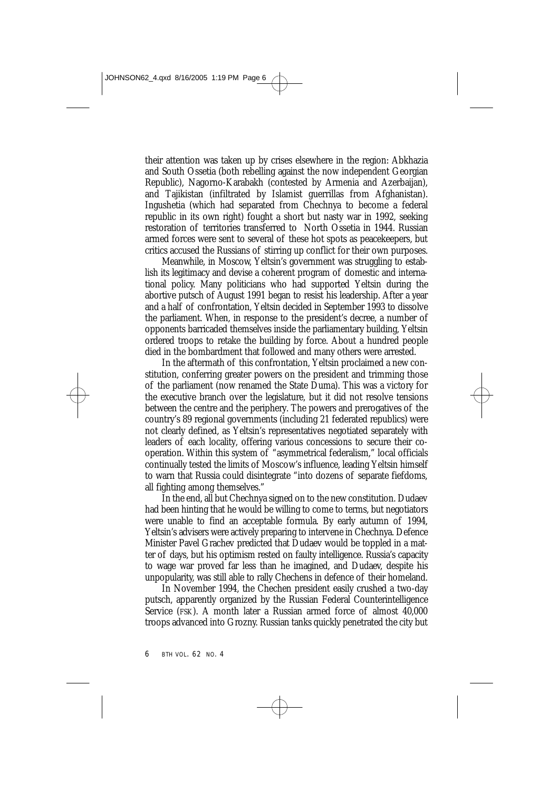their attention was taken up by crises elsewhere in the region: Abkhazia and South Ossetia (both rebelling against the now independent Georgian Republic), Nagorno-Karabakh (contested by Armenia and Azerbaijan), and Tajikistan (infiltrated by Islamist guerrillas from Afghanistan). Ingushetia (which had separated from Chechnya to become a federal republic in its own right) fought a short but nasty war in 1992, seeking restoration of territories transferred to North Ossetia in 1944. Russian armed forces were sent to several of these hot spots as peacekeepers, but critics accused the Russians of stirring up conflict for their own purposes.

Meanwhile, in Moscow, Yeltsin's government was struggling to establish its legitimacy and devise a coherent program of domestic and international policy. Many politicians who had supported Yeltsin during the abortive putsch of August 1991 began to resist his leadership. After a year and a half of confrontation, Yeltsin decided in September 1993 to dissolve the parliament. When, in response to the president's decree, a number of opponents barricaded themselves inside the parliamentary building, Yeltsin ordered troops to retake the building by force. About a hundred people died in the bombardment that followed and many others were arrested.

In the aftermath of this confrontation, Yeltsin proclaimed a new constitution, conferring greater powers on the president and trimming those of the parliament (now renamed the State Duma). This was a victory for the executive branch over the legislature, but it did not resolve tensions between the centre and the periphery. The powers and prerogatives of the country's 89 regional governments (including 21 federated republics) were not clearly defined, as Yeltsin's representatives negotiated separately with leaders of each locality, offering various concessions to secure their cooperation. Within this system of "asymmetrical federalism," local officials continually tested the limits of Moscow's influence, leading Yeltsin himself to warn that Russia could disintegrate "into dozens of separate fiefdoms, all fighting among themselves."

In the end, all but Chechnya signed on to the new constitution. Dudaev had been hinting that he would be willing to come to terms, but negotiators were unable to find an acceptable formula. By early autumn of 1994, Yeltsin's advisers were actively preparing to intervene in Chechnya. Defence Minister Pavel Grachev predicted that Dudaev would be toppled in a matter of days, but his optimism rested on faulty intelligence. Russia's capacity to wage war proved far less than he imagined, and Dudaev, despite his unpopularity, was still able to rally Chechens in defence of their homeland.

In November 1994, the Chechen president easily crushed a two-day putsch, apparently organized by the Russian Federal Counterintelligence Service (FSK). A month later a Russian armed force of almost 40,000 troops advanced into Grozny. Russian tanks quickly penetrated the city but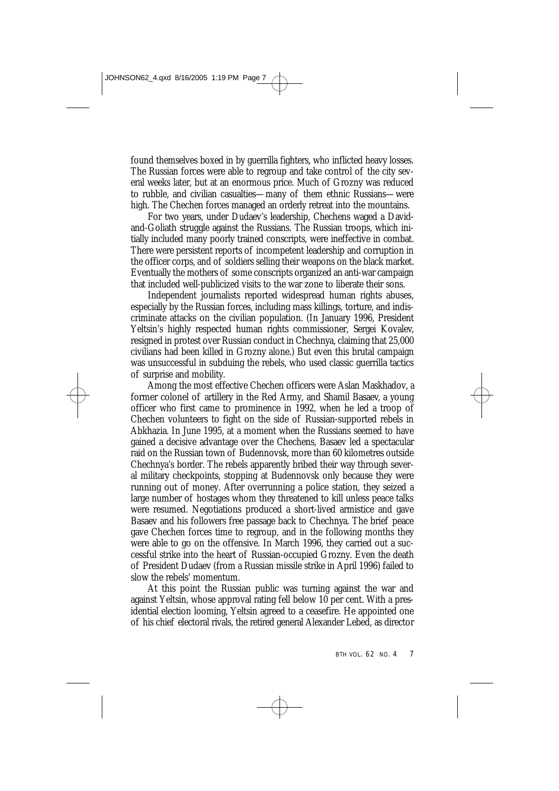found themselves boxed in by guerrilla fighters, who inflicted heavy losses. The Russian forces were able to regroup and take control of the city several weeks later, but at an enormous price. Much of Grozny was reduced to rubble, and civilian casualties—many of them ethnic Russians—were high. The Chechen forces managed an orderly retreat into the mountains.

For two years, under Dudaev's leadership, Chechens waged a Davidand-Goliath struggle against the Russians. The Russian troops, which initially included many poorly trained conscripts, were ineffective in combat. There were persistent reports of incompetent leadership and corruption in the officer corps, and of soldiers selling their weapons on the black market. Eventually the mothers of some conscripts organized an anti-war campaign that included well-publicized visits to the war zone to liberate their sons.

Independent journalists reported widespread human rights abuses, especially by the Russian forces, including mass killings, torture, and indiscriminate attacks on the civilian population. (In January 1996, President Yeltsin's highly respected human rights commissioner, Sergei Kovalev, resigned in protest over Russian conduct in Chechnya, claiming that 25,000 civilians had been killed in Grozny alone.) But even this brutal campaign was unsuccessful in subduing the rebels, who used classic guerrilla tactics of surprise and mobility.

Among the most effective Chechen officers were Aslan Maskhadov, a former colonel of artillery in the Red Army, and Shamil Basaev, a young officer who first came to prominence in 1992, when he led a troop of Chechen volunteers to fight on the side of Russian-supported rebels in Abkhazia. In June 1995, at a moment when the Russians seemed to have gained a decisive advantage over the Chechens, Basaev led a spectacular raid on the Russian town of Budennovsk, more than 60 kilometres outside Chechnya's border. The rebels apparently bribed their way through several military checkpoints, stopping at Budennovsk only because they were running out of money. After overrunning a police station, they seized a large number of hostages whom they threatened to kill unless peace talks were resumed. Negotiations produced a short-lived armistice and gave Basaev and his followers free passage back to Chechnya. The brief peace gave Chechen forces time to regroup, and in the following months they were able to go on the offensive. In March 1996, they carried out a successful strike into the heart of Russian-occupied Grozny. Even the death of President Dudaev (from a Russian missile strike in April 1996) failed to slow the rebels' momentum.

At this point the Russian public was turning against the war and against Yeltsin, whose approval rating fell below 10 per cent. With a presidential election looming, Yeltsin agreed to a ceasefire. He appointed one of his chief electoral rivals, the retired general Alexander Lebed, as director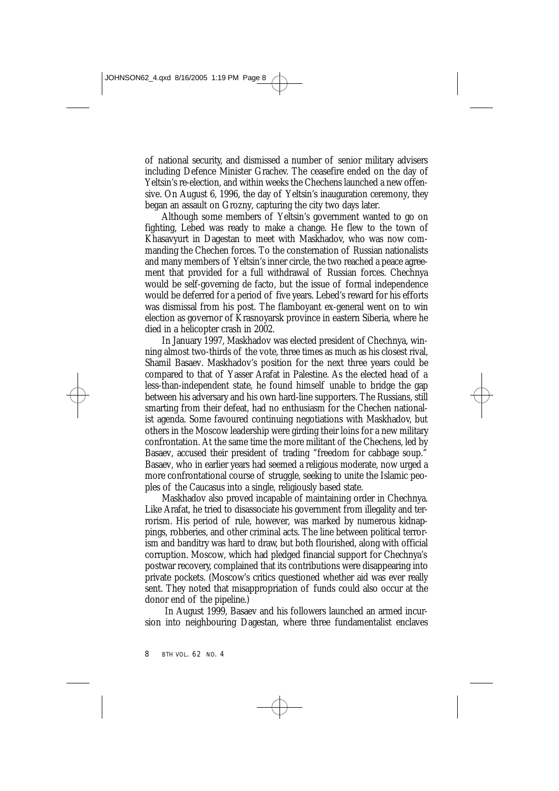of national security, and dismissed a number of senior military advisers including Defence Minister Grachev. The ceasefire ended on the day of Yeltsin's re-election, and within weeks the Chechens launched a new offensive. On August 6, 1996, the day of Yeltsin's inauguration ceremony, they began an assault on Grozny, capturing the city two days later.

Although some members of Yeltsin's government wanted to go on fighting, Lebed was ready to make a change. He flew to the town of Khasavyurt in Dagestan to meet with Maskhadov, who was now commanding the Chechen forces. To the consternation of Russian nationalists and many members of Yeltsin's inner circle, the two reached a peace agreement that provided for a full withdrawal of Russian forces. Chechnya would be self-governing de facto, but the issue of formal independence would be deferred for a period of five years. Lebed's reward for his efforts was dismissal from his post. The flamboyant ex-general went on to win election as governor of Krasnoyarsk province in eastern Siberia, where he died in a helicopter crash in 2002.

In January 1997, Maskhadov was elected president of Chechnya, winning almost two-thirds of the vote, three times as much as his closest rival, Shamil Basaev. Maskhadov's position for the next three years could be compared to that of Yasser Arafat in Palestine. As the elected head of a less-than-independent state, he found himself unable to bridge the gap between his adversary and his own hard-line supporters. The Russians, still smarting from their defeat, had no enthusiasm for the Chechen nationalist agenda. Some favoured continuing negotiations with Maskhadov, but others in the Moscow leadership were girding their loins for a new military confrontation. At the same time the more militant of the Chechens, led by Basaev, accused their president of trading "freedom for cabbage soup.' Basaev, who in earlier years had seemed a religious moderate, now urged a more confrontational course of struggle, seeking to unite the Islamic peoples of the Caucasus into a single, religiously based state.

Maskhadov also proved incapable of maintaining order in Chechnya. Like Arafat, he tried to disassociate his government from illegality and terrorism. His period of rule, however, was marked by numerous kidnappings, robberies, and other criminal acts. The line between political terrorism and banditry was hard to draw, but both flourished, along with official corruption. Moscow, which had pledged financial support for Chechnya's postwar recovery, complained that its contributions were disappearing into private pockets. (Moscow's critics questioned whether aid was ever really sent. They noted that misappropriation of funds could also occur at the donor end of the pipeline.)

In August 1999, Basaev and his followers launched an armed incursion into neighbouring Dagestan, where three fundamentalist enclaves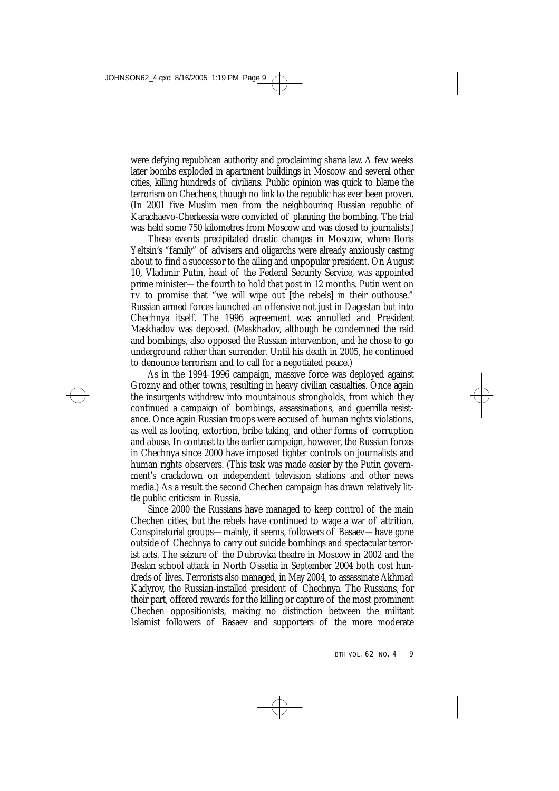were defying republican authority and proclaiming sharia law. A few weeks later bombs exploded in apartment buildings in Moscow and several other cities, killing hundreds of civilians. Public opinion was quick to blame the terrorism on Chechens, though no link to the republic has ever been proven. (In 2001 five Muslim men from the neighbouring Russian republic of Karachaevo-Cherkessia were convicted of planning the bombing. The trial was held some 750 kilometres from Moscow and was closed to journalists.)

These events precipitated drastic changes in Moscow, where Boris Yeltsin's "family" of advisers and oligarchs were already anxiously casting about to find a successor to the ailing and unpopular president. On August 10, Vladimir Putin, head of the Federal Security Service, was appointed prime minister—the fourth to hold that post in 12 months. Putin went on TV to promise that "we will wipe out [the rebels] in their outhouse." Russian armed forces launched an offensive not just in Dagestan but into Chechnya itself. The 1996 agreement was annulled and President Maskhadov was deposed. (Maskhadov, although he condemned the raid and bombings, also opposed the Russian intervention, and he chose to go underground rather than surrender. Until his death in 2005, he continued to denounce terrorism and to call for a negotiated peace.)

As in the 1994–1996 campaign, massive force was deployed against Grozny and other towns, resulting in heavy civilian casualties. Once again the insurgents withdrew into mountainous strongholds, from which they continued a campaign of bombings, assassinations, and guerrilla resistance. Once again Russian troops were accused of human rights violations, as well as looting, extortion, bribe taking, and other forms of corruption and abuse. In contrast to the earlier campaign, however, the Russian forces in Chechnya since 2000 have imposed tighter controls on journalists and human rights observers. (This task was made easier by the Putin government's crackdown on independent television stations and other news media.) As a result the second Chechen campaign has drawn relatively little public criticism in Russia.

Since 2000 the Russians have managed to keep control of the main Chechen cities, but the rebels have continued to wage a war of attrition. Conspiratorial groups—mainly, it seems, followers of Basaev—have gone outside of Chechnya to carry out suicide bombings and spectacular terrorist acts. The seizure of the Dubrovka theatre in Moscow in 2002 and the Beslan school attack in North Ossetia in September 2004 both cost hundreds of lives. Terrorists also managed, in May 2004, to assassinate Akhmad Kadyrov, the Russian-installed president of Chechnya. The Russians, for their part, offered rewards for the killing or capture of the most prominent Chechen oppositionists, making no distinction between the militant Islamist followers of Basaev and supporters of the more moderate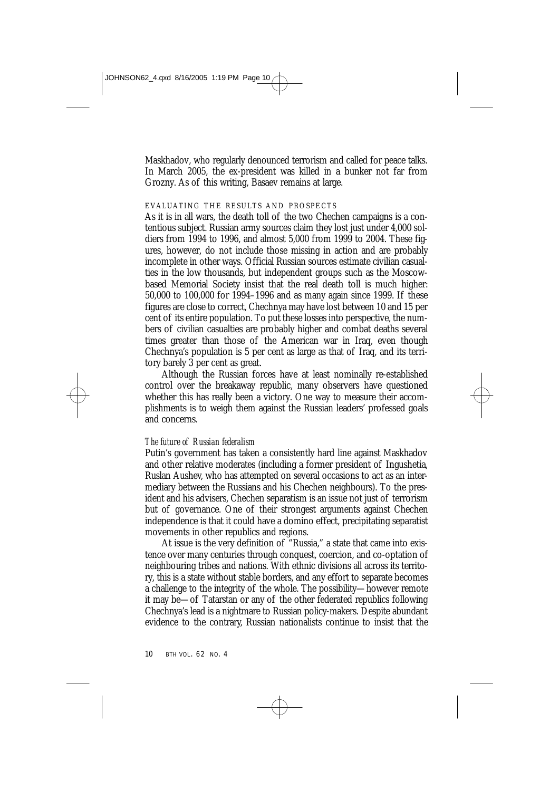Maskhadov, who regularly denounced terrorism and called for peace talks. In March 2005, the ex-president was killed in a bunker not far from Grozny. As of this writing, Basaev remains at large.

## EVALUATING THE RESULTS AND PROSPECTS

As it is in all wars, the death toll of the two Chechen campaigns is a contentious subject. Russian army sources claim they lost just under 4,000 soldiers from 1994 to 1996, and almost 5,000 from 1999 to 2004. These figures, however, do not include those missing in action and are probably incomplete in other ways. Official Russian sources estimate civilian casualties in the low thousands, but independent groups such as the Moscowbased Memorial Society insist that the real death toll is much higher: 50,000 to 100,000 for 1994–1996 and as many again since 1999. If these figures are close to correct, Chechnya may have lost between 10 and 15 per cent of its entire population. To put these losses into perspective, the numbers of civilian casualties are probably higher and combat deaths several times greater than those of the American war in Iraq, even though Chechnya's population is 5 per cent as large as that of Iraq, and its territory barely 3 per cent as great.

Although the Russian forces have at least nominally re-established control over the breakaway republic, many observers have questioned whether this has really been a victory. One way to measure their accomplishments is to weigh them against the Russian leaders' professed goals and concerns.

#### *The future of Russian federalism*

Putin's government has taken a consistently hard line against Maskhadov and other relative moderates (including a former president of Ingushetia, Ruslan Aushev, who has attempted on several occasions to act as an intermediary between the Russians and his Chechen neighbours). To the president and his advisers, Chechen separatism is an issue not just of terrorism but of governance. One of their strongest arguments against Chechen independence is that it could have a domino effect, precipitating separatist movements in other republics and regions.

At issue is the very definition of "Russia," a state that came into existence over many centuries through conquest, coercion, and co-optation of neighbouring tribes and nations. With ethnic divisions all across its territory, this is a state without stable borders, and any effort to separate becomes a challenge to the integrity of the whole. The possibility—however remote it may be—of Tatarstan or any of the other federated republics following Chechnya's lead is a nightmare to Russian policy-makers. Despite abundant evidence to the contrary, Russian nationalists continue to insist that the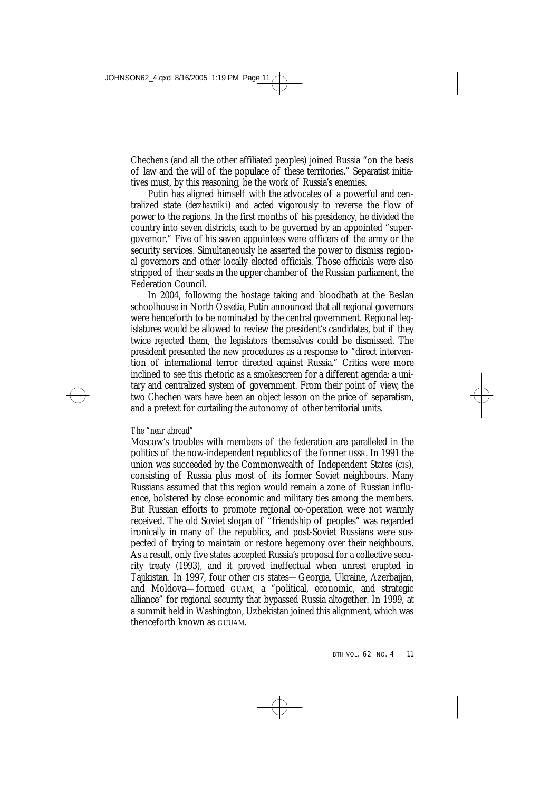Chechens (and all the other affiliated peoples) joined Russia "on the basis of law and the will of the populace of these territories." Separatist initiatives must, by this reasoning, be the work of Russia's enemies.

Putin has aligned himself with the advocates of a powerful and centralized state (*derzhavniki*) and acted vigorously to reverse the flow of power to the regions. In the first months of his presidency, he divided the country into seven districts, each to be governed by an appointed "supergovernor." Five of his seven appointees were officers of the army or the security services. Simultaneously he asserted the power to dismiss regional governors and other locally elected officials. Those officials were also stripped of their seats in the upper chamber of the Russian parliament, the Federation Council.

In 2004, following the hostage taking and bloodbath at the Beslan schoolhouse in North Ossetia, Putin announced that all regional governors were henceforth to be nominated by the central government. Regional legislatures would be allowed to review the president's candidates, but if they twice rejected them, the legislators themselves could be dismissed. The president presented the new procedures as a response to "direct intervention of international terror directed against Russia." Critics were more inclined to see this rhetoric as a smokescreen for a different agenda: a unitary and centralized system of government. From their point of view, the two Chechen wars have been an object lesson on the price of separatism, and a pretext for curtailing the autonomy of other territorial units.

# *The "near abroad"*

Moscow's troubles with members of the federation are paralleled in the politics of the now-independent republics of the former USSR. In 1991 the union was succeeded by the Commonwealth of Independent States (CIS), consisting of Russia plus most of its former Soviet neighbours. Many Russians assumed that this region would remain a zone of Russian influence, bolstered by close economic and military ties among the members. But Russian efforts to promote regional co-operation were not warmly received. The old Soviet slogan of "friendship of peoples" was regarded ironically in many of the republics, and post-Soviet Russians were suspected of trying to maintain or restore hegemony over their neighbours. As a result, only five states accepted Russia's proposal for a collective security treaty (1993), and it proved ineffectual when unrest erupted in Tajikistan. In 1997, four other CIS states—Georgia, Ukraine, Azerbaijan, and Moldova—formed GUAM, a "political, economic, and strategic alliance" for regional security that bypassed Russia altogether. In 1999, at a summit held in Washington, Uzbekistan joined this alignment, which was thenceforth known as GUUAM.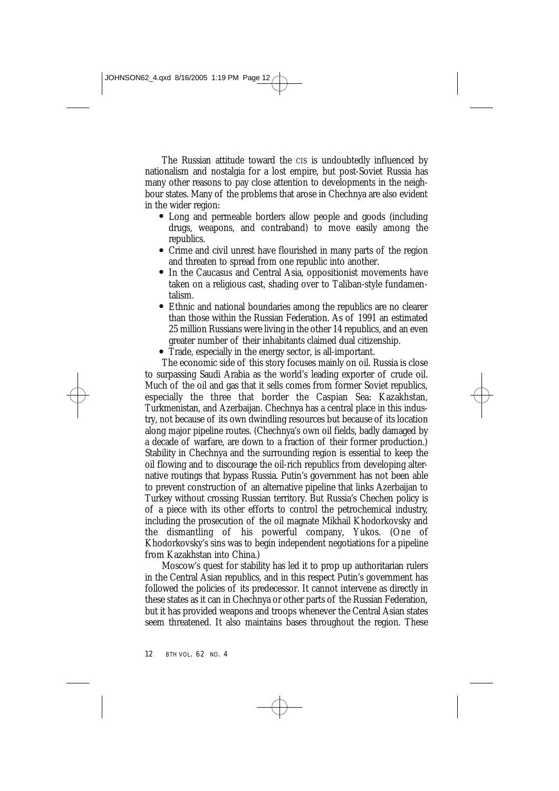The Russian attitude toward the CIS is undoubtedly influenced by nationalism and nostalgia for a lost empire, but post-Soviet Russia has many other reasons to pay close attention to developments in the neighbour states. Many of the problems that arose in Chechnya are also evident in the wider region:

- Long and permeable borders allow people and goods (including drugs, weapons, and contraband) to move easily among the republics.
- Crime and civil unrest have flourished in many parts of the region and threaten to spread from one republic into another.
- In the Caucasus and Central Asia, oppositionist movements have taken on a religious cast, shading over to Taliban-style fundamentalism.
- Ethnic and national boundaries among the republics are no clearer l than those within the Russian Federation. As of 1991 an estimated 25 million Russians were living in the other 14 republics, and an even greater number of their inhabitants claimed dual citizenship.
- Trade, especially in the energy sector, is all-important. l

The economic side of this story focuses mainly on oil. Russia is close to surpassing Saudi Arabia as the world's leading exporter of crude oil. Much of the oil and gas that it sells comes from former Soviet republics, especially the three that border the Caspian Sea: Kazakhstan, Turkmenistan, and Azerbaijan. Chechnya has a central place in this industry, not because of its own dwindling resources but because of its location along major pipeline routes. (Chechnya's own oil fields, badly damaged by a decade of warfare, are down to a fraction of their former production.) Stability in Chechnya and the surrounding region is essential to keep the oil flowing and to discourage the oil-rich republics from developing alternative routings that bypass Russia. Putin's government has not been able to prevent construction of an alternative pipeline that links Azerbaijan to Turkey without crossing Russian territory. But Russia's Chechen policy is of a piece with its other efforts to control the petrochemical industry, including the prosecution of the oil magnate Mikhail Khodorkovsky and the dismantling of his powerful company, Yukos. (One of Khodorkovsky's sins was to begin independent negotiations for a pipeline from Kazakhstan into China.)

Moscow's quest for stability has led it to prop up authoritarian rulers in the Central Asian republics, and in this respect Putin's government has followed the policies of its predecessor. It cannot intervene as directly in these states as it can in Chechnya or other parts of the Russian Federation, but it has provided weapons and troops whenever the Central Asian states seem threatened. It also maintains bases throughout the region. These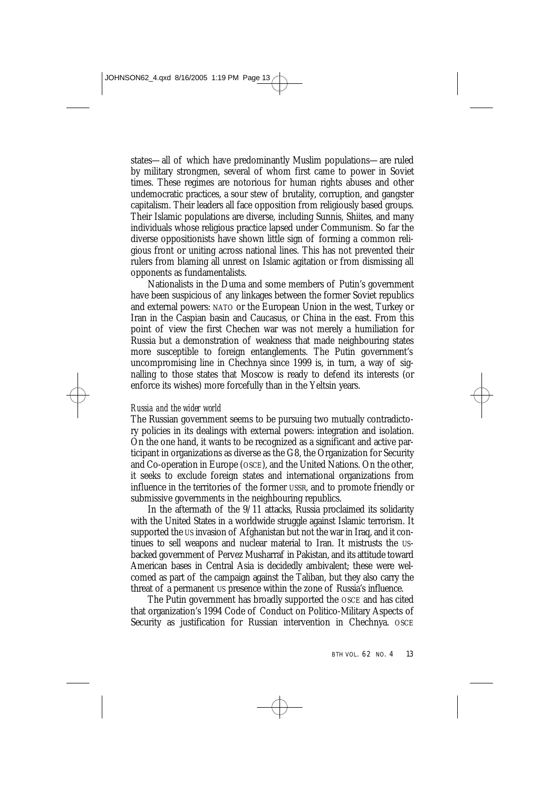states—all of which have predominantly Muslim populations—are ruled by military strongmen, several of whom first came to power in Soviet times. These regimes are notorious for human rights abuses and other undemocratic practices, a sour stew of brutality, corruption, and gangster capitalism. Their leaders all face opposition from religiously based groups. Their Islamic populations are diverse, including Sunnis, Shiites, and many individuals whose religious practice lapsed under Communism. So far the diverse oppositionists have shown little sign of forming a common religious front or uniting across national lines. This has not prevented their rulers from blaming all unrest on Islamic agitation or from dismissing all opponents as fundamentalists.

Nationalists in the Duma and some members of Putin's government have been suspicious of any linkages between the former Soviet republics and external powers: NATO or the European Union in the west, Turkey or Iran in the Caspian basin and Caucasus, or China in the east. From this point of view the first Chechen war was not merely a humiliation for Russia but a demonstration of weakness that made neighbouring states more susceptible to foreign entanglements. The Putin government's uncompromising line in Chechnya since 1999 is, in turn, a way of signalling to those states that Moscow is ready to defend its interests (or enforce its wishes) more forcefully than in the Yeltsin years.

#### *Russia and the wider world*

The Russian government seems to be pursuing two mutually contradictory policies in its dealings with external powers: integration and isolation. On the one hand, it wants to be recognized as a significant and active participant in organizations as diverse as the G8, the Organization for Security and Co-operation in Europe (OSCE), and the United Nations. On the other, it seeks to exclude foreign states and international organizations from influence in the territories of the former USSR, and to promote friendly or submissive governments in the neighbouring republics.

In the aftermath of the 9/11 attacks, Russia proclaimed its solidarity with the United States in a worldwide struggle against Islamic terrorism. It supported the US invasion of Afghanistan but not the war in Iraq, and it continues to sell weapons and nuclear material to Iran. It mistrusts the USbacked government of Pervez Musharraf in Pakistan, and its attitude toward American bases in Central Asia is decidedly ambivalent; these were welcomed as part of the campaign against the Taliban, but they also carry the threat of a permanent US presence within the zone of Russia's influence.

The Putin government has broadly supported the OSCE and has cited that organization's 1994 Code of Conduct on Politico-Military Aspects of Security as justification for Russian intervention in Chechnya. OSCE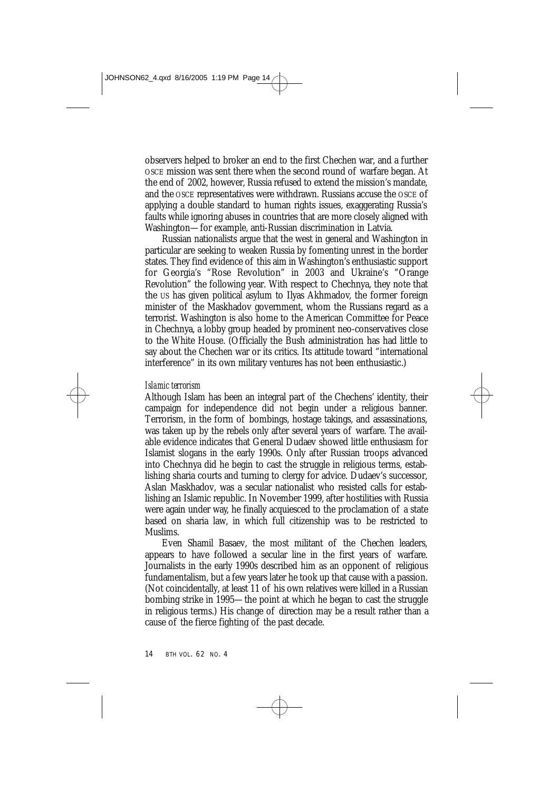observers helped to broker an end to the first Chechen war, and a further OSCE mission was sent there when the second round of warfare began. At the end of 2002, however, Russia refused to extend the mission's mandate, and the OSCE representatives were withdrawn. Russians accuse the OSCE of applying a double standard to human rights issues, exaggerating Russia's faults while ignoring abuses in countries that are more closely aligned with Washington—for example, anti-Russian discrimination in Latvia.

Russian nationalists argue that the west in general and Washington in particular are seeking to weaken Russia by fomenting unrest in the border states. They find evidence of this aim in Washington's enthusiastic support for Georgia's "Rose Revolution" in 2003 and Ukraine's "Orange Revolution" the following year. With respect to Chechnya, they note that the US has given political asylum to Ilyas Akhmadov, the former foreign minister of the Maskhadov government, whom the Russians regard as a terrorist. Washington is also home to the American Committee for Peace in Chechnya, a lobby group headed by prominent neo-conservatives close to the White House. (Officially the Bush administration has had little to say about the Chechen war or its critics. Its attitude toward "international interference" in its own military ventures has not been enthusiastic.)

# *Islamic terrorism*

Although Islam has been an integral part of the Chechens' identity, their campaign for independence did not begin under a religious banner. Terrorism, in the form of bombings, hostage takings, and assassinations, was taken up by the rebels only after several years of warfare. The available evidence indicates that General Dudaev showed little enthusiasm for Islamist slogans in the early 1990s. Only after Russian troops advanced into Chechnya did he begin to cast the struggle in religious terms, establishing sharia courts and turning to clergy for advice. Dudaev's successor, Aslan Maskhadov, was a secular nationalist who resisted calls for establishing an Islamic republic. In November 1999, after hostilities with Russia were again under way, he finally acquiesced to the proclamation of a state based on sharia law, in which full citizenship was to be restricted to Muslims.

Even Shamil Basaev, the most militant of the Chechen leaders, appears to have followed a secular line in the first years of warfare. Journalists in the early 1990s described him as an opponent of religious fundamentalism, but a few years later he took up that cause with a passion. (Not coincidentally, at least 11 of his own relatives were killed in a Russian bombing strike in 1995—the point at which he began to cast the struggle in religious terms.) His change of direction may be a result rather than a cause of the fierce fighting of the past decade.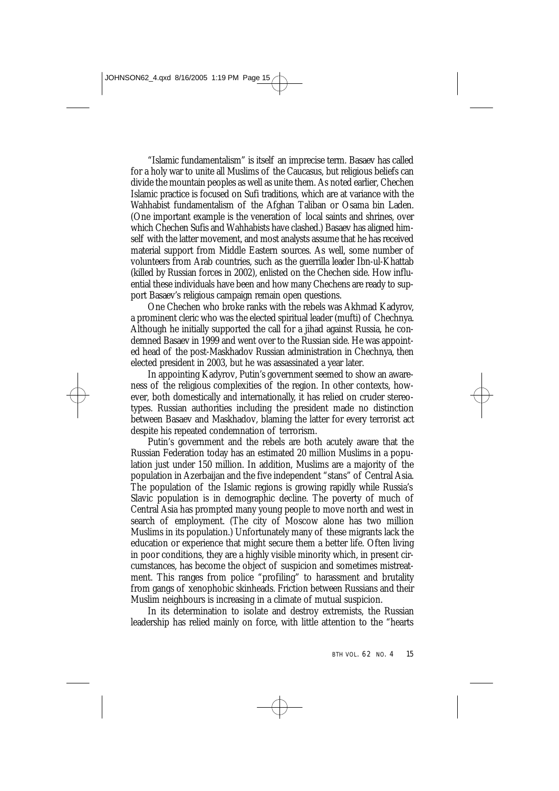"Islamic fundamentalism" is itself an imprecise term. Basaev has called for a holy war to unite all Muslims of the Caucasus, but religious beliefs can divide the mountain peoples as well as unite them. As noted earlier, Chechen Islamic practice is focused on Sufi traditions, which are at variance with the Wahhabist fundamentalism of the Afghan Taliban or Osama bin Laden. (One important example is the veneration of local saints and shrines, over which Chechen Sufis and Wahhabists have clashed.) Basaev has aligned himself with the latter movement, and most analysts assume that he has received material support from Middle Eastern sources. As well, some number of volunteers from Arab countries, such as the guerrilla leader Ibn-ul-Khattab (killed by Russian forces in 2002), enlisted on the Chechen side. How influential these individuals have been and how many Chechens are ready to support Basaev's religious campaign remain open questions.

One Chechen who broke ranks with the rebels was Akhmad Kadyrov, a prominent cleric who was the elected spiritual leader (mufti) of Chechnya. Although he initially supported the call for a jihad against Russia, he condemned Basaev in 1999 and went over to the Russian side. He was appointed head of the post-Maskhadov Russian administration in Chechnya, then elected president in 2003, but he was assassinated a year later.

In appointing Kadyrov, Putin's government seemed to show an awareness of the religious complexities of the region. In other contexts, however, both domestically and internationally, it has relied on cruder stereotypes. Russian authorities including the president made no distinction between Basaev and Maskhadov, blaming the latter for every terrorist act despite his repeated condemnation of terrorism.

Putin's government and the rebels are both acutely aware that the Russian Federation today has an estimated 20 million Muslims in a population just under 150 million. In addition, Muslims are a majority of the population in Azerbaijan and the five independent "stans" of Central Asia. The population of the Islamic regions is growing rapidly while Russia's Slavic population is in demographic decline. The poverty of much of Central Asia has prompted many young people to move north and west in search of employment. (The city of Moscow alone has two million Muslims in its population.) Unfortunately many of these migrants lack the education or experience that might secure them a better life. Often living in poor conditions, they are a highly visible minority which, in present circumstances, has become the object of suspicion and sometimes mistreatment. This ranges from police "profiling" to harassment and brutality from gangs of xenophobic skinheads. Friction between Russians and their Muslim neighbours is increasing in a climate of mutual suspicion.

In its determination to isolate and destroy extremists, the Russian leadership has relied mainly on force, with little attention to the "hearts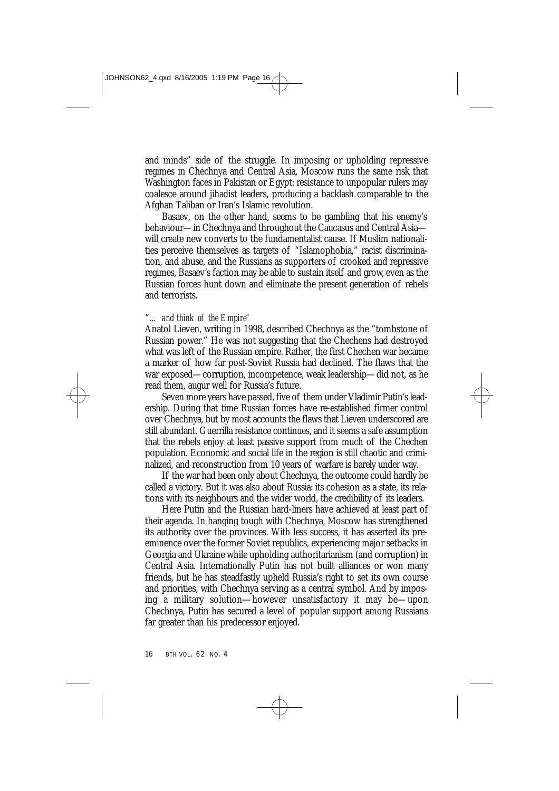and minds" side of the struggle. In imposing or upholding repressive regimes in Chechnya and Central Asia, Moscow runs the same risk that Washington faces in Pakistan or Egypt: resistance to unpopular rulers may coalesce around jihadist leaders, producing a backlash comparable to the Afghan Taliban or Iran's Islamic revolution.

Basaev, on the other hand, seems to be gambling that his enemy's behaviour—in Chechnya and throughout the Caucasus and Central Asia will create new converts to the fundamentalist cause. If Muslim nationalities perceive themselves as targets of "Islamophobia," racist discrimination, and abuse, and the Russians as supporters of crooked and repressive regimes, Basaev's faction may be able to sustain itself and grow, even as the Russian forces hunt down and eliminate the present generation of rebels and terrorists.

# "*… and think of the Empire"*

Anatol Lieven, writing in 1998, described Chechnya as the "tombstone of Russian power." He was not suggesting that the Chechens had destroyed what was left of the Russian empire. Rather, the first Chechen war became a marker of how far post-Soviet Russia had declined. The flaws that the war exposed—corruption, incompetence, weak leadership—did not, as he read them, augur well for Russia's future.

Seven more years have passed, five of them under Vladimir Putin's leadership. During that time Russian forces have re-established firmer control over Chechnya, but by most accounts the flaws that Lieven underscored are still abundant. Guerrilla resistance continues, and it seems a safe assumption that the rebels enjoy at least passive support from much of the Chechen population. Economic and social life in the region is still chaotic and criminalized, and reconstruction from 10 years of warfare is barely under way.

If the war had been only about Chechnya, the outcome could hardly be called a victory. But it was also about Russia: its cohesion as a state, its relations with its neighbours and the wider world, the credibility of its leaders.

Here Putin and the Russian hard-liners have achieved at least part of their agenda. In hanging tough with Chechnya, Moscow has strengthened its authority over the provinces. With less success, it has asserted its preeminence over the former Soviet republics, experiencing major setbacks in Georgia and Ukraine while upholding authoritarianism (and corruption) in Central Asia. Internationally Putin has not built alliances or won many friends, but he has steadfastly upheld Russia's right to set its own course and priorities, with Chechnya serving as a central symbol. And by imposing a military solution—however unsatisfactory it may be—upon Chechnya, Putin has secured a level of popular support among Russians far greater than his predecessor enjoyed.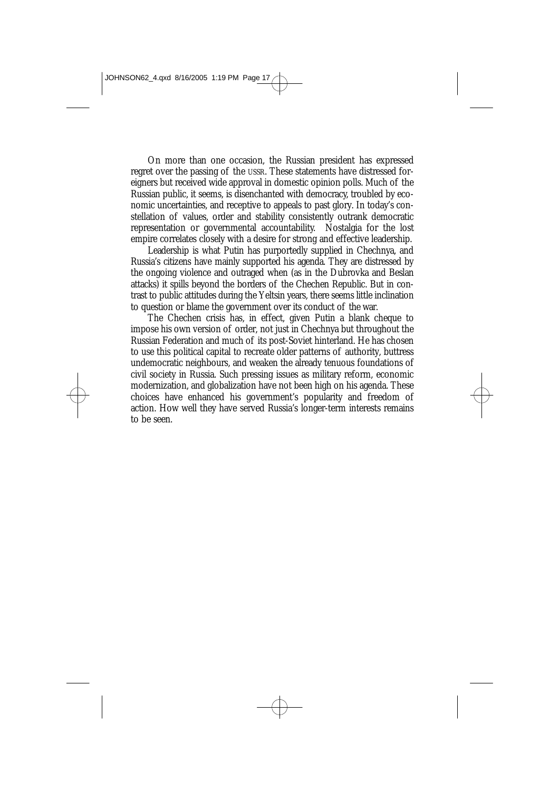On more than one occasion, the Russian president has expressed regret over the passing of the USSR. These statements have distressed foreigners but received wide approval in domestic opinion polls. Much of the Russian public, it seems, is disenchanted with democracy, troubled by economic uncertainties, and receptive to appeals to past glory. In today's constellation of values, order and stability consistently outrank democratic representation or governmental accountability. Nostalgia for the lost empire correlates closely with a desire for strong and effective leadership.

Leadership is what Putin has purportedly supplied in Chechnya, and Russia's citizens have mainly supported his agenda. They are distressed by the ongoing violence and outraged when (as in the Dubrovka and Beslan attacks) it spills beyond the borders of the Chechen Republic. But in contrast to public attitudes during the Yeltsin years, there seems little inclination to question or blame the government over its conduct of the war.

The Chechen crisis has, in effect, given Putin a blank cheque to impose his own version of order, not just in Chechnya but throughout the Russian Federation and much of its post-Soviet hinterland. He has chosen to use this political capital to recreate older patterns of authority, buttress undemocratic neighbours, and weaken the already tenuous foundations of civil society in Russia. Such pressing issues as military reform, economic modernization, and globalization have not been high on his agenda. These choices have enhanced his government's popularity and freedom of action. How well they have served Russia's longer-term interests remains to be seen.